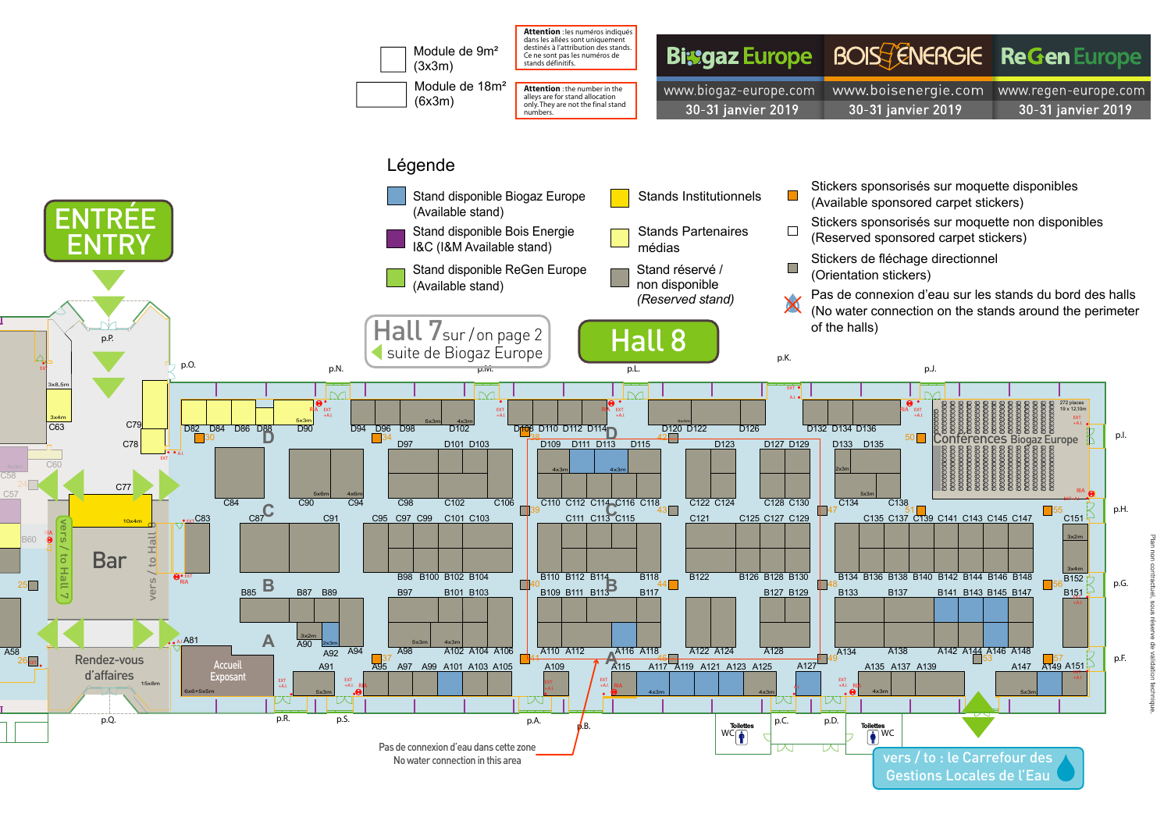